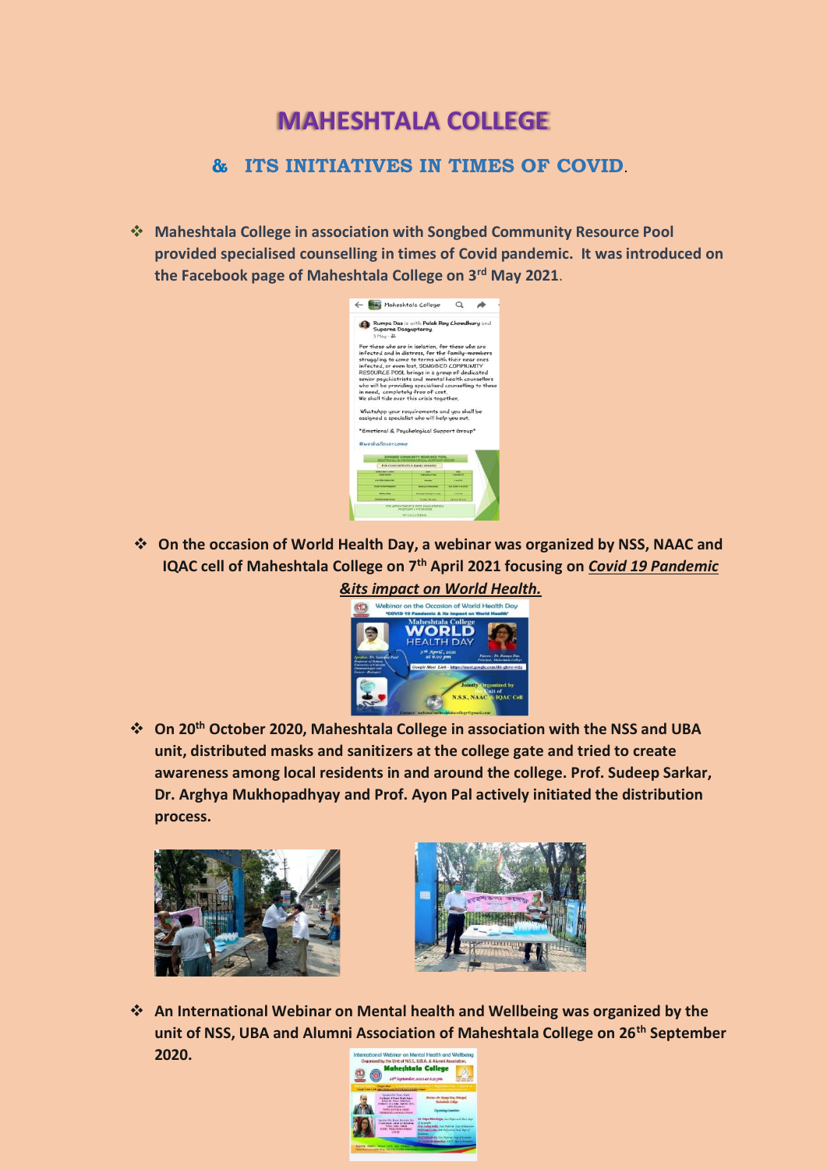## **MAHESHTALA COLLEGE**

## **& ITS INITIATIVES IN TIMES OF COVID**.

❖ **Maheshtala College in association with Songbed Community Resource Pool provided specialised counselling in times of Covid pandemic. It was introduced on the Facebook page of Maheshtala College on 3rd May 2021**.



❖ **On the occasion of World Health Day, a webinar was organized by NSS, NAAC and IQAC cell of Maheshtala College on 7th April 2021 focusing on** *Covid 19 Pandemic* 



❖ **On 20th October 2020, Maheshtala College in association with the NSS and UBA unit, distributed masks and sanitizers at the college gate and tried to create awareness among local residents in and around the college. Prof. Sudeep Sarkar, Dr. Arghya Mukhopadhyay and Prof. Ayon Pal actively initiated the distribution process.** 





❖ **An International Webinar on Mental health and Wellbeing was organized by the unit of NSS, UBA and Alumni Association of Maheshtala College on 26th September 2020.** al Webinar on Mental Health and Wel

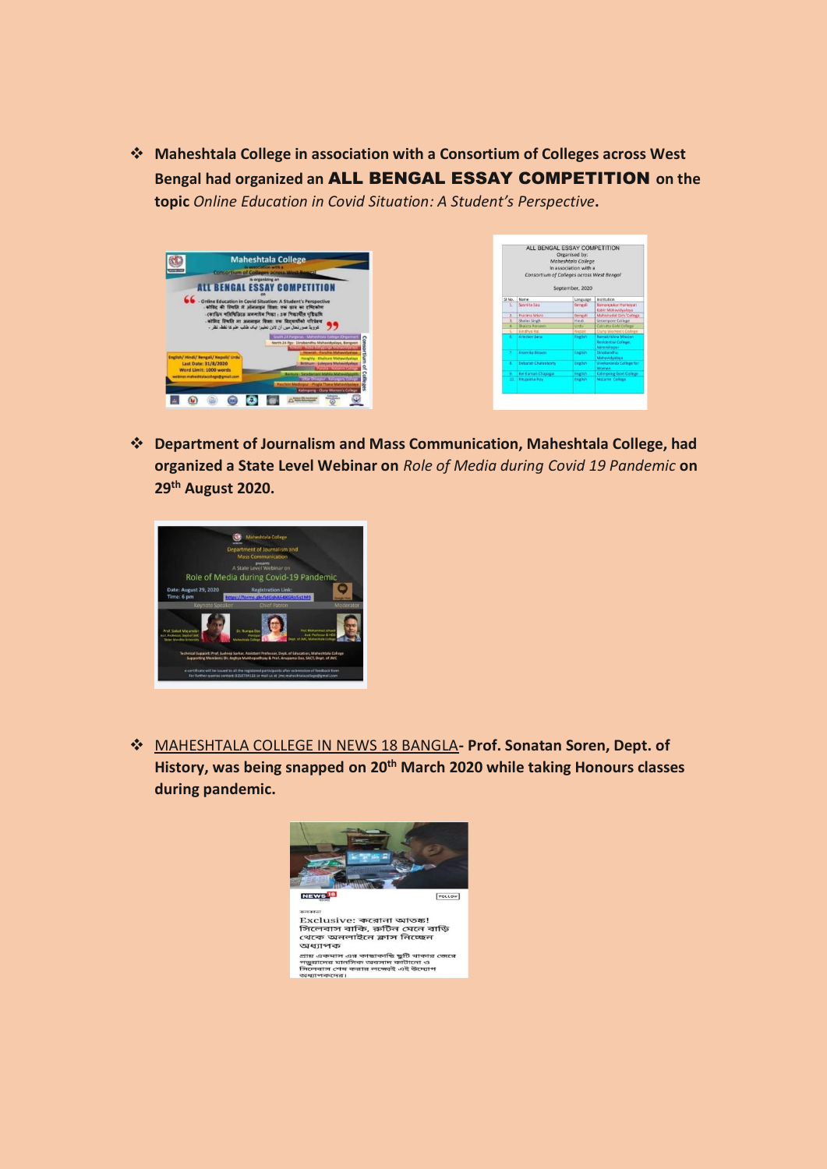❖ **Maheshtala College in association with a Consortium of Colleges across West Bengal had organized an** ALL BENGAL ESSAY COMPETITION **on the topic** *Online Education in Covid Situation: A Student's Perspective***.** 



❖ **Department of Journalism and Mass Communication, Maheshtala College, had organized a State Level Webinar on** *Role of Media during Covid 19 Pandemic* **on 29th August 2020.**



❖ MAHESHTALA COLLEGE IN NEWS 18 BANGLA**- Prof. Sonatan Soren, Dept. of History, was being snapped on 20th March 2020 while taking Honours classes during pandemic.**